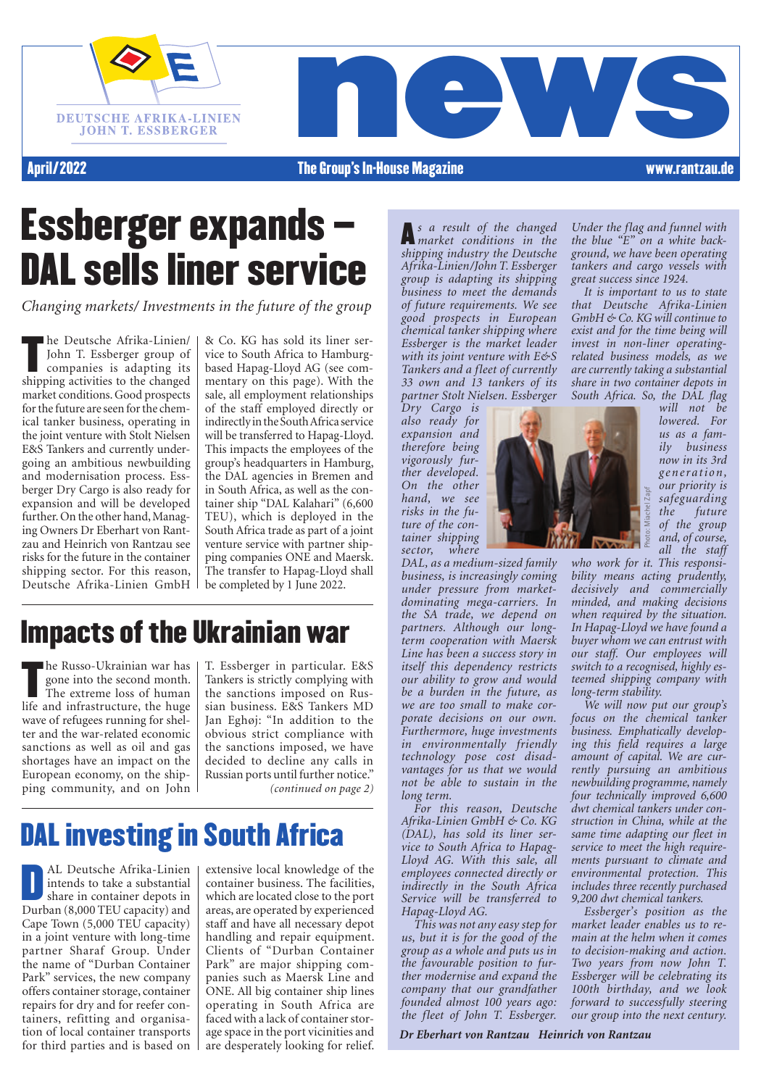



April/2022

#### The Group's In-House Magazine www.rantzau.de

## Essberger expands – DAL sells liner service

*Changing markets/ Investments in the future of the group*

The Deutsche Afrika-Linen<br>John T. Essberger group of<br>companies is adapting its<br>shipping activities to the changed he Deutsche Afrika-Linien/ John T. Essberger group of companies is adapting its market conditions. Good prospects for the future are seen for the chemical tanker business, operating in the joint venture with Stolt Nielsen E&S Tankers and currently undergoing an ambitious newbuilding and modernisation process. Essberger Dry Cargo is also ready for expansion and will be developed further. On the other hand, Managing Owners Dr Eberhart von Rantzau and Heinrich von Rantzau see risks for the future in the container shipping sector. For this reason, Deutsche Afrika-Linien GmbH

& Co. KG has sold its liner service to South Africa to Hamburgbased Hapag-Lloyd AG (see commentary on this page). With the sale, all employment relationships of the staff employed directly or indirectly in the South Africa service will be transferred to Hapag-Lloyd. This impacts the employees of the group's headquarters in Hamburg, the DAL agencies in Bremen and in South Africa, as well as the container ship "DAL Kalahari" (6,600 TEU), which is deployed in the South Africa trade as part of a joint venture service with partner shipping companies ONE and Maersk. The transfer to Hapag-Lloyd shall be completed by 1 June 2022.

### Impacts of the Ukrainian war

The Russo-Okramlan war has<br>gone into the second month.<br>The extreme loss of human<br>life and infrastructure, the huge he Russo-Ukrainian war has gone into the second month. The extreme loss of human wave of refugees running for shelter and the war-related economic sanctions as well as oil and gas shortages have an impact on the European economy, on the shipping community, and on John

*(continued on page 2)* T. Essberger in particular. E&S Tankers is strictly complying with the sanctions imposed on Russian business. E&S Tankers MD Jan Eghøj: "In addition to the obvious strict compliance with the sanctions imposed, we have decided to decline any calls in Russian ports until further notice."

### DAL investing in South Africa

AL Deutsche Afrika-Linien<br>
intends to take a substantial<br>
share in container depots in<br>
Durban (8.000 TEU canacity) and intends to take a substantial share in container depots in Durban (8,000 TEU capacity) and Cape Town (5,000 TEU capacity) in a joint venture with long-time partner Sharaf Group. Under the name of "Durban Container Park" services, the new company offers container storage, container repairs for dry and for reefer containers, refitting and organisation of local container transports for third parties and is based on

extensive local knowledge of the container business. The facilities, which are located close to the port areas, are operated by experienced staff and have all necessary depot handling and repair equipment. Clients of "Durban Container Park" are major shipping companies such as Maersk Line and ONE. All big container ship lines operating in South Africa are faced with a lack of container storage space in the port vicinities and are desperately looking for relief.

A*s a result of the changed market conditions in the shipping industry the Deutsche Afrika-Linien/John T. Essberger group is adapting its shipping business to meet the demands of future requirements. We see good prospects in European chemical tanker shipping where Essberger is the market leader with its joint venture with E&S Tankers and a fleet of currently 33 own and 13 tankers of its partner Stolt Nielsen. Essberger* 

*Dry Cargo is also ready for expansion and therefore being vigorously further developed. On the other hand, we see risks in the future of the container shipping sector, where* 

*DAL, as a medium-sized family business, is increasingly coming under pressure from marketdominating mega-carriers. In the SA trade, we depend on partners. Although our longterm cooperation with Maersk Line has been a success story in itself this dependency restricts our ability to grow and would be a burden in the future, as we are too small to make corporate decisions on our own. Furthermore, huge investments in environmentally friendly technology pose cost disadvantages for us that we would not be able to sustain in the long term.* 

*For this reason, Deutsche Afrika-Linien GmbH & Co. KG (DAL), has sold its liner service to South Africa to Hapag-Lloyd AG. With this sale, all employees connected directly or indirectly in the South Africa Service will be transferred to Hapag-Lloyd AG.* 

*This was not any easy step for us, but it is for the good of the group as a whole and puts us in the favourable position to further modernise and expand the company that our grandfather founded almost 100 years ago: the fleet of John T. Essberger.* 

*Under the flag and funnel with the blue "E" on a white background, we have been operating tankers and cargo vessels with great success since 1924.*

*It is important to us to state that Deutsche Afrika-Linien GmbH & Co. KG will continue to exist and for the time being will invest in non-liner operatingrelated business models, as we are currently taking a substantial share in two container depots in South Africa. So, the DAL flag* 



*will not be lowered. For us as a family business now in its 3rd g e n e ra t i o n , our priority is safeguarding the future of the group and, of course, all the staff* 

*who work for it. This responsibility means acting prudently, decisively and commercially minded, and making decisions when required by the situation. In Hapag-Lloyd we have found a buyer whom we can entrust with our staff. Our employees will switch to a recognised, highly esteemed shipping company with long-term stability.*

Photo: Miachel Zapf

*We will now put our group's focus on the chemical tanker business. Emphatically developing this field requires a large amount of capital. We are currently pursuing an ambitious newbuilding programme, namely four technically improved 6,600 dwt chemical tankers under construction in China, while at the same time adapting our fleet in service to meet the high requirements pursuant to climate and environmental protection. This includes three recently purchased 9,200 dwt chemical tankers.* 

*Essberger's position as the market leader enables us to remain at the helm when it comes to decision-making and action. Two years from now John T. Essberger will be celebrating its 100th birthday, and we look forward to successfully steering our group into the next century.*

*Dr Eberhart von Rantzau Heinrich von Rantzau*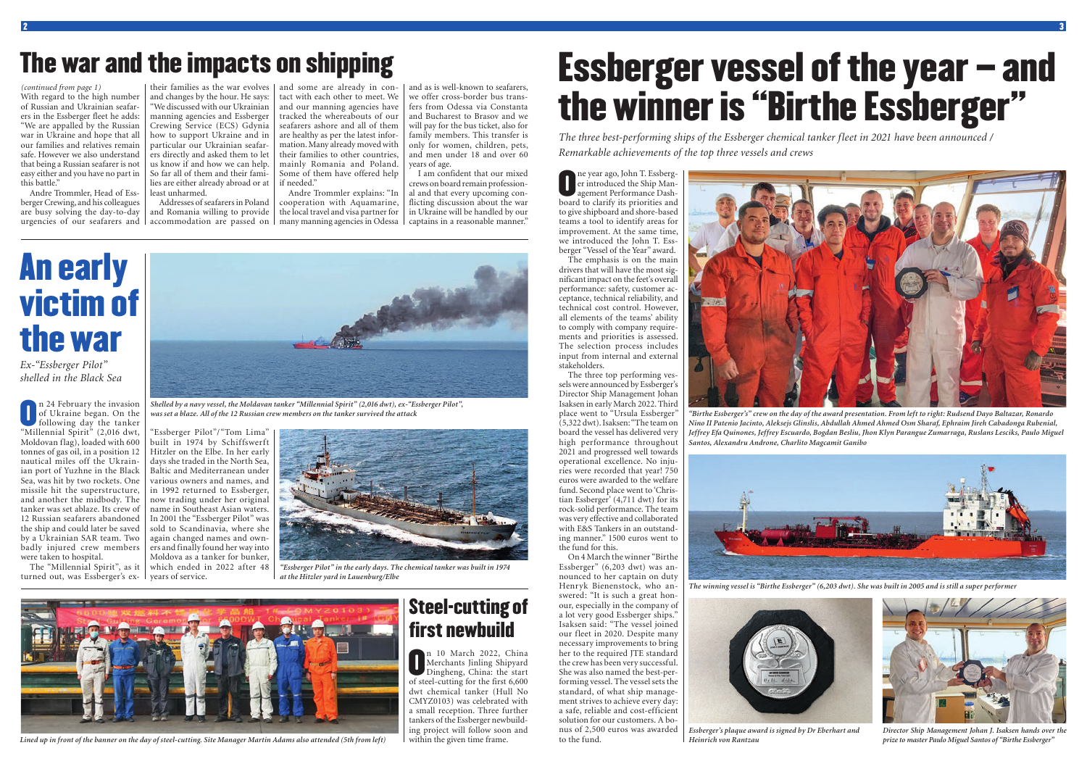Andre Trommler, Head of Essberger Crewing, and his colleagues are busy solving the day-to-day

their families as the war evolves | and some are already in conand changes by the hour. He says: "We discussed with our Ukrainian manning agencies and Essberger Crewing Service (ECS) Gdynia how to support Ukraine and in particular our Ukrainian seafarers directly and asked them to let us know if and how we can help. So far all of them and their families are either already abroad or at least unharmed.

urgencies of our seafarers and | accommodation are passed on | many manning agencies in Odessa | captains in a reasonable manner." Andre Trommler explains: "In cooperation with Aquamarine, the local travel and visa partner for

Addresses of seafarers in Poland and Romania willing to provide

With regard to the high number of Russian and Ukrainian seafarers in the Essberger fleet he adds: "We are appalled by the Russian war in Ukraine and hope that all our families and relatives remain safe. However we also understand that being a Russian seafarer is not easy either and you have no part in this battle." *(continued from page 1)*

tact with each other to meet. We and our manning agencies have tracked the whereabouts of our seafarers ashore and all of them are healthy as per the latest information. Many already moved with their families to other countries, mainly Romania and Poland. Some of them have offered help if needed."

n 24 February the invasion<br>of Ukraine began. On the<br>following day the tanker<br>"Millennial Spirit" (2.016 dwt of Ukraine began. On the following day the tanker "Millennial Spirit" (2,016 dwt, Moldovan flag), loaded with 600 tonnes of gas oil, in a position 12 nautical miles off the Ukrainian port of Yuzhne in the Black Sea, was hit by two rockets. One missile hit the superstructure, and another the midbody. The tanker was set ablaze. Its crew of the ship and could later be saved by a Ukrainian SAR team. Two badly injured crew members were taken to hospital.

turned out, was Essberger's ex- I years of service.

n 10 March 2022, China<br>Merchants Jinling Shipyard<br>Dingheng, China: the start<br>of steel-cutting for the first 6.600 Merchants Jinling Shipyard Dingheng, China: the start of steel-cutting for the first 6,600 dwt chemical tanker (Hull No CMYZ0103) was celebrated with a small reception. Three further tankers of the Essberger newbuilding project will follow soon and within the given time frame.

and as is well-known to seafarers, we offer cross-border bus transfers from Odessa via Constanta and Bucharest to Brasov and we will pay for the bus ticket, also for family members. This transfer is only for women, children, pets, and men under 18 and over 60 years of age.

12 Russian seafarers abandoned | In 2001 the "Essberger Pilot" was The "Millennial Spirit", as it which ended in 2022 after 48 "Essberger Pilot"/"Tom Lima" built in 1974 by Schiffswerft Hitzler on the Elbe. In her early days she traded in the North Sea, Baltic and Mediterranean under various owners and names, and in 1992 returned to Essberger, now trading under her original name in Southeast Asian waters. sold to Scandinavia, where she again changed names and owners and finally found her way into Moldova as a tanker for bunker,

I am confident that our mixed crews on board remain professional and that every upcoming conflicting discussion about the war in Ukraine will be handled by our

### The war and the impacts on shipping

### Steel-cutting of first newbuild

The year ago, John T. Essberg-<br>
er introduced the Ship Man-<br>
agement Performance Dash-<br>
board to clarify its priorities and er introduced the Ship Management Performance Dashboard to clarify its priorities and to give shipboard and shore-based teams a tool to identify areas for improvement. At the same time, we introduced the John T. Essberger "Vessel of the Year" award.

## An early victim of the war

*Ex-"Essberger Pilot" shelled in the Black Sea*



*Shelled by a navy vessel, the Moldavan tanker "Millennial Spirit" (2,016 dwt), ex-"Essberger Pilot",* 



*was set a blaze. All of the 12 Russian crew members on the tanker survived the attack "Birthe Essberger's" crew on the day of the award presentation. From left to right: Rudsend Dayo Baltazar, Ronardo Nino II Patenio Jacinto, Aleksejs Glinslis, Abdullah Ahmed Ahmed Osm Sharaf, Ephraim Jireh Cabadonga Rubenial, Jeffrey Efa Quinones, Jeffrey Escuardo, Bogdan Besliu, Jhon Klyn Parangue Zumarraga, Ruslans Lesciks, Paulo Miguel Santos, Alexandru Androne, Charlito Magcamit Ganibo*



*Director Ship Management Johan J. Isaksen hands over the prize to master Paulo Miguel Santos of "Birthe Essberger"*



*"Essberger Pilot" in the early days. The chemical tanker was built in 1974 at the Hitzler yard in Lauenburg/Elbe*



*Lined up in front of the banner on the day of steel-cutting. Site Manager Martin Adams also attended (5th from left)*

# Essberger vessel of the year – and the winner is "Birthe Essberger"

*The three best-performing ships of the Essberger chemical tanker fleet in 2021 have been announced / Remarkable achievements of the top three vessels and crews*

The emphasis is on the main drivers that will have the most significant impact on the feet's overall performance: safety, customer acceptance, technical reliability, and technical cost control. However, all elements of the teams' ability to comply with company requirements and priorities is assessed. The selection process includes input from internal and external stakeholders.

The three top performing vessels were announced by Essberger's Director Ship Management Johan Isaksen in early March 2022. Third place went to "Ursula Essberger" (5,322 dwt). Isaksen: "The team on board the vessel has delivered very high performance throughout 2021 and progressed well towards operational excellence. No injuries were recorded that year! 750 euros were awarded to the welfare fund. Second place went to 'Christian Essberger' (4,711 dwt) for its rock-solid performance. The team was very effective and collaborated with E&S Tankers in an outstanding manner." 1500 euros went to the fund for this.

On 4 March the winner "Birthe Essberger" (6,203 dwt) was announced to her captain on duty Henryk Bienenstock, who answered: "It is such a great honour, especially in the company of a lot very good Essberger ships." Isaksen said: "The vessel joined our fleet in 2020. Despite many necessary improvements to bring her to the required ITE standard the crew has been very successful. She was also named the best-performing vessel. The vessel sets the standard, of what ship management strives to achieve every day: a safe, reliable and cost-efficient solution for our customers. A bonus of 2,500 euros was awarded to the fund.



*The winning vessel is "Birthe Essberger" (6,203 dwt). She was built in 2005 and is still a super performer*



*Essberger's plaque award is signed by Dr Eberhart and Heinrich von Rantzau*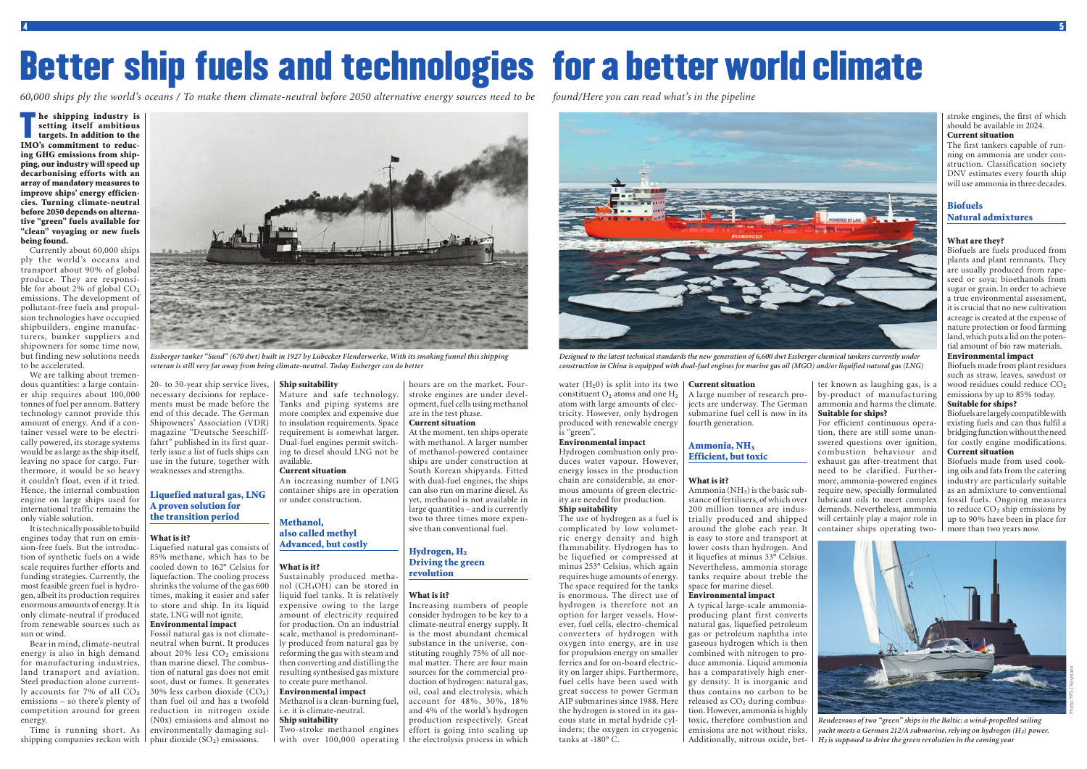*Rendezvous of two "green" ships in the Baltic: a wind-propelled sailing yacht meets a German 212/A submarine, relying on hydrogen* (H<sub>2</sub>) power. *H² is supposed to drive the green revolution in the coming year*

the shipping industry is<br>setting itself ambitious<br>targets. In addition to the<br>IMO's commitment to reducsetting itself ambitious IMO's commitment to reducing GHG emissions from shipping, our industry will speed up decarbonising efforts with an array of mandatory measures to improve ships' energy efficiencies. Turning climate-neutral before 2050 depends on alternative "green" fuels available for "clean" voyaging or new fuels being found.

We are talking about tremendous quantities: a large container ship requires about 100,000 tonnes of fuel per annum. Battery technology cannot provide this amount of energy. And if a container vessel were to be electrically powered, its storage systems would be as large as the ship itself, leaving no space for cargo. Furthermore, it would be so heavy it couldn't float, even if it tried. Hence, the internal combustion engine on large ships used for international traffic remains the only viable solution.

Currently about 60,000 ships ply the world's oceans and transport about 90% of global produce. They are responsible for about 2% of global CO<sub>2</sub> emissions. The development of pollutant-free fuels and propulsion technologies have occupied shipbuilders, engine manufacturers, bunker suppliers and shipowners for some time now, but finding new solutions needs to be accelerated.

Time is running short. As shipping companies reckon with  $\mid$  phur dioxide (SO<sub>2</sub>) emissions.

Liquefied natural gas consists of 85% methane, which has to be cooled down to 162° Celsius for liquefaction. The cooling process shrinks the volume of the gas 600 times, making it easier and safer to store and ship. In its liquid state, LNG will not ignite. Environmental impact Fossil natural gas is not climateneutral when burnt. It produces about 20% less  $CO<sub>2</sub>$  emissions than marine diesel. The combustion of natural gas does not emit soot, dust or fumes. It generates  $30\%$  less carbon dioxide  $(CO<sub>2</sub>)$ 

It is technically possible to build engines today that run on emission-free fuels. But the introduction of synthetic fuels on a wide scale requires further efforts and funding strategies. Currently, the most feasible green fuel is hydrogen, albeit its production requires enormous amounts of energy. It is only climate-neutral if produced from renewable sources such as sun or wind.

Bear in mind, climate-neutral energy is also in high demand for manufacturing industries, land transport and aviation. Steel production alone current-<br>Iv accounts for  $7\%$  of all  $CO<sub>2</sub>$  $emissions - so there's plenty of$ competition around for green energy.

Two-stroke methanol engines with over  $100,000$  operating I the electrolysis process in which

20- to 30-year ship service lives,

### Hydrogen,  $H_2$ <br>Driving the green revolution

weaknesses and strengths.

Liquefied natural gas, LNG A proven solution for the transition period

What is it?

water  $(H<sub>2</sub>0)$  is split into its two | constituent  $O_2$  atoms and one  $H_2$ atom with large amounts of electricity. However, only hydrogen produced with renewable energy is "green".

necessary decisions for replacements must be made before the end of this decade. The German Shipowners' Association (VDR) magazine "Deutsche Seeschifffahrt" published in its first quarterly issue a list of fuels ships can use in the future, together with Mature and safe technology. Tanks and piping systems are more complex and expensive due to insulation requirements. Space requirement is somewhat larger. Dual-fuel engines permit switching to diesel should LNG not be available.

#### Ship suitability

Ammonia ( $NH<sub>3</sub>$ ) is the basic substance of fertilisers, of which over 200 million tonnes are industrially produced and shipped around the globe each year. It is easy to store and transport at lower costs than hydrogen. And it liquefies at minus 33° Celsius. Nevertheless, ammonia storage tanks require about treble the space for marine diesel.

#### Current situation

An increasing number of LNG container ships are in operation or under construction.

#### Methanol, also called methyl

than fuel oil and has a twofold reduction in nitrogen oxide (N0x) emissions and almost no environmentally damaging suli.e. it is climate-neutral. Ship suitability

Advanced, but costly

#### What is it?

Sustainably produced methanol  $(CH<sub>3</sub>OH)$  can be stored in liquid fuel tanks. It is relatively expensive owing to the large amount of electricity required for production. On an industrial scale, methanol is predominantly produced from natural gas by reforming the gas with steam and then converting and distilling the resulting synthesised gas mixture to create pure methanol. Environmental impact

### Methanol is a clean-burning fuel,

hours are on the market. Fourstroke engines are under development, fuel cells using methanol are in the test phase.

#### **Biofuels** Natural admixtures

#### Current situation

At the moment, ten ships operate with methanol. A larger number of methanol-powered container ships are under construction at South Korean shipyards. Fitted with dual-fuel engines, the ships can also run on marine diesel. As yet, methanol is not available in large quantities – and is currently two to three times more expensive than conventional fuel.

#### What is it?

Increasing numbers of people consider hydrogen to be key to a climate-neutral energy supply. It is the most abundant chemical substance in the universe, constituting roughly 75% of all normal matter. There are four main sources for the commercial production of hydrogen: natural gas, oil, coal and electrolysis, which account for 48%, 30%, 18% and 4% of the world's hydrogen production respectively. Great effort is going into scaling up

#### Environmental impact

Hydrogen combustion only produces water vapour. However, energy losses in the production chain are considerable, as enormous amounts of green electricity are needed for production. Ship suitability

The use of hydrogen as a fuel is complicated by low volumetric energy density and high flammability. Hydrogen has to be liquefied or compressed at minus 253° Celsius, which again requires huge amounts of energy. The space required for the tanks is enormous. The direct use of hydrogen is therefore not an option for larger vessels. However, fuel cells, electro-chemical converters of hydrogen with oxygen into energy, are in use for propulsion energy on smaller ferries and for on-board electricity on larger ships. Furthermore, fuel cells have been used with great success to power German AIP submarines since 1988. Here the hydrogen is stored in its gaseous state in metal hydride cylinders; the oxygen in cryogenic tanks at -180° C.

#### Current situation

A large number of research projects are underway. The German submarine fuel cell is now in its fourth generation.

### Ammonia, NH<sub>3</sub><br>Efficient, but toxic

#### What is it?

#### Environmental impact

A typical large-scale ammoniaproducing plant first converts natural gas, liquefied petroleum gas or petroleum naphtha into gaseous hydrogen which is then combined with nitrogen to produce ammonia. Liquid ammonia has a comparatively high energy density. It is inorganic and thus contains no carbon to be released as CO<sub>2</sub> during combustion. However, ammonia is highly toxic, therefore combustion and emissions are not without risks. Additionally, nitrous oxide, bet-



*Essberger tanker "Sund" (670 dwt) built in 1927 by Lübecker Flenderwerke. With its smoking funnel this shipping veteran is still very far away from being climate-neutral. Today Essberger can do better*



*Designed to the latest technical standards the new generation of 6,600 dwt Essberger chemical tankers currently under construction in China is equipped with dual-fuel engines for marine gas oil (MGO) and/or liquified natural gas (LNG)*

ter known as laughing gas, is a by-product of manufacturing ammonia and harms the climate. Suitable for ships?

For efficient continuous operation, there are still some unanswered questions over ignition, combustion behaviour and exhaust gas after-treatment that need to be clarified. Furthermore, ammonia-powered engines require new, specially formulated lubricant oils to meet complex demands. Nevertheless, ammonia will certainly play a major role in container ships operating two-

stroke engines, the first of which should be available in 2024. Current situation

The first tankers capable of running on ammonia are under construction. Classification society DNV estimates every fourth ship will use ammonia in three decades.

#### What are they?

Biofuels are fuels produced from plants and plant remnants. They are usually produced from rapeseed or soya; bioethanols from sugar or grain. In order to achieve a true environmental assessment, it is crucial that no new cultivation acreage is created at the expense of nature protection or food farming land, which puts a lid on the potential amount of bio raw materials.

#### Environmental impact

Biofuels made from plant residues such as straw, leaves, sawdust or wood residues could reduce CO<sub>2</sub> emissions by up to 85% today.

#### Suitable for ships?

Biofuels are largely compatible with existing fuels and can thus fulfil a bridging function without the need for costly engine modifications. Current situation

Biofuels made from used cooking oils and fats from the catering industry are particularly suitable as an admixture to conventional fossil fuels. Ongoing measures to reduce  $CO<sub>2</sub>$  ship emissions by up to 90% have been in place for more than two years now.



# Better ship fuels and technologies for a better world climate

*60,000 ships ply the world's oceans / To make them climate-neutral before 2050 alternative energy sources need to be found/Here you can read what's in the pipeline*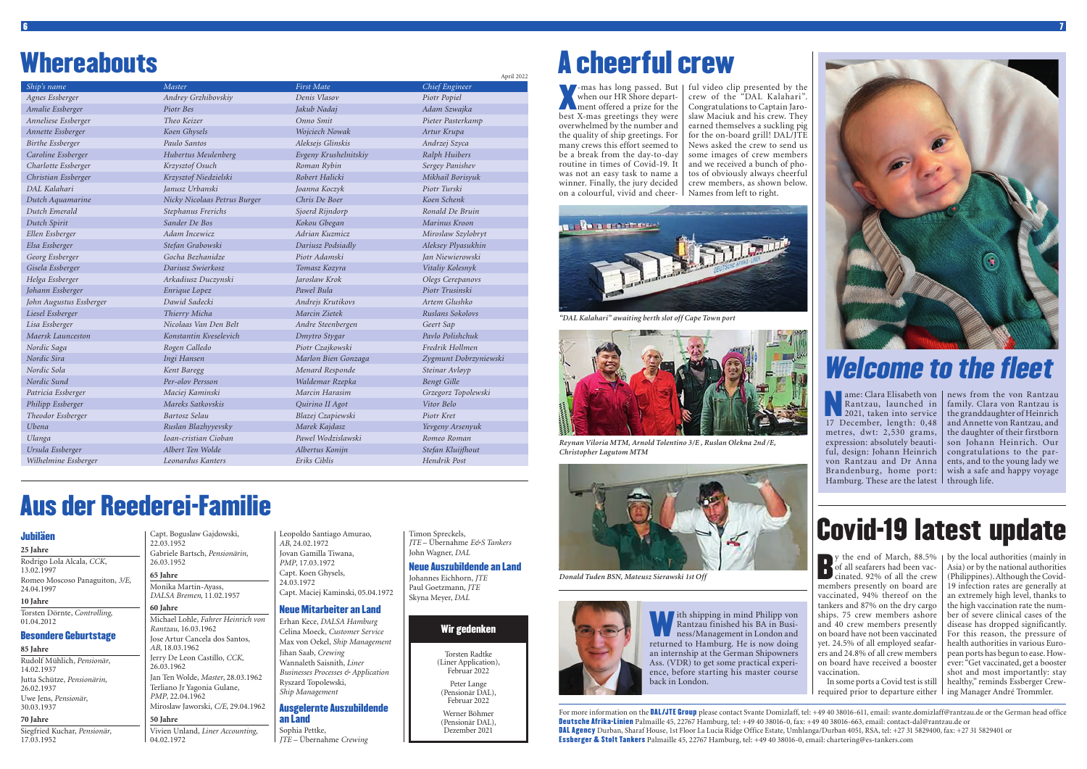### **Whereabouts**

For more information on the **DAL/JTE Group** please contact Svante Domizlaff, tel: +49 40 38016-611, email: svante.domizlaff@rantzau.de or the German head office Deutsche Afrika-Linien Palmaille 45, 22767 Hamburg, tel: +49 40 38016-0, fax: +49 40 38016-663, email: contact-dal@rantzau.de or DAL Agency Durban, Sharaf House, 1st Floor La Lucia Ridge Office Estate, Umhlanga/Durban 4051, RSA, tel: +27 31 5829400, fax: +27 31 5829401 or Essberger & Stolt Tankers Palmaille 45, 22767 Hamburg, tel: +49 40 38016-0, email: chartering@es-tankers.com



Torsten Radtke (Liner Application), Februar 2022

> Peter Lange (Pensionär DAL), Februar 2022

Werner Böhmer (Pensionär DAL), Dezember 2021

#### Wir gedenken

#### Jubiläen

#### **25 Jahre**

Rodrigo Lola Alcala, *CCK*, 13.02.1997 Romeo Moscoso Panaguiton, *3/E*, 24.04.1997 **10 Jahre**

Torsten Dörnte, *Controlling*, 01.04.2012

#### Besondere Geburtstage

#### **85 Jahre**

Rudolf Mühlich, *Pensionär*, 14.02.1937 Jutta Schütze, *Pensionärin*, 26.02.1937 Uwe Jens, *Pensionär*, 30.03.1937

#### **70 Jahre**

Siegfried Kuchar, *Pensionär*, 17.03.1952

#### Capt. Boguslaw Gajdowski, 22.03.1952 Gabriele Bartsch, *Pensionärin*, 26.03.1952 **65 Jahre**

Monika Martin-Ayass, *DALSA Bremen*, 11.02.1957 **60 Jahre**

#### Michael Lohle, *Fahrer Heinrich von Rantzau*, 16.03.1962 Jose Artur Cancela dos Santos, *AB*, 18.03.1962 Jerry De Leon Castillo, *CCK*, 26.03.1962 Jan Ten Wolde, *Master*, 28.03.1962 Terliano Jr Yagonia Gulane, *PMP*, 22.04.1962 Miroslaw Jaworski, *C/E*, 29.04.1962 **50 Jahre**

Vivien Unland, *Liner Accounting*, 04.02.1972

Leopoldo Santiago Amurao, *AB*, 24.02.1972 Jovan Gamilla Tiwana, *PMP*, 17.03.1972 Capt. Koen Ghysels, 24.03.1972 Capt. Maciej Kaminski, 05.04.1972

#### Neue Mitarbeiter an Land

Erhan Kece, *DALSA Hamburg* Celina Moeck, *Customer Service* Max von Oekel, *Ship Management* Jihan Saab, *Crewing* Wannaleth Saisnith, *Liner Businesses Processes & Application* Ryszard Topolewski, *Ship Management*

#### Ausgelernte Auszubildende an Land

Sophia Pettke, *JTE* – Übernahme *Crewing* Timon Spreckels,

*JTE* – Übernahme *E&S Tankers* John Wagner, *DAL* Neue Auszubildende an Land

Johannes Eichhorn, *JTE* Paul Goetzmann, *JTE* Skyna Meyer, *DAL*

### Aus der Reederei-Familie

ame: Clara Elisabeth von | news from the von Rantzau family. Clara von Rantzau is the granddaughter of Heinrich and Annette von Rantzau, and the daughter of their firstborn son Johann Heinrich. Our congratulations to the parents, and to the young lady we wish a safe and happy voyage

| <u> Literature de la contrada de la contrada de la contrada de la contrada de la contrada de la contrada de la c</u><br><u>YWWYD I SI</u> |                              |                       | April 2022            |
|-------------------------------------------------------------------------------------------------------------------------------------------|------------------------------|-----------------------|-----------------------|
| Ship's name                                                                                                                               | Master                       | <b>First Mate</b>     | Chief Engineer        |
| Agnes Essberger                                                                                                                           | Andrey Grzhibovskiy          | Denis Vlasov          | Piotr Popiel          |
| Amalie Essberger                                                                                                                          | Piotr Bes                    | Jakub Nadaj           | Adam Szwajka          |
| Anneliese Essberger                                                                                                                       | Theo Keizer                  | Onno Smit             | Pieter Pasterkamp     |
| Annette Essberger                                                                                                                         | Koen Ghysels                 | Wojciech Nowak        | Artur Krupa           |
| Birthe Essberger                                                                                                                          | Paulo Santos                 | Aleksejs Glinskis     | Andrzej Szyca         |
| Caroline Essberger                                                                                                                        | Hubertus Meulenberg          | Evgeny Krushelnitskiy | Ralph Huibers         |
| Charlotte Essberger                                                                                                                       | Krzysztof Osuch              | Roman Rybin           | Sergey Panishev       |
| Christian Essberger                                                                                                                       | Krzysztof Niedzielski        | Robert Halicki        | Mikhail Borisyuk      |
| DAL Kalahari                                                                                                                              | Janusz Urbanski              | Joanna Koczyk         | Piotr Turski          |
| Dutch Aquamarine                                                                                                                          | Nicky Nicolaas Petrus Burger | Chris De Boer         | Koen Schenk           |
| Dutch Emerald                                                                                                                             | Stephanus Frerichs           | Sjoerd Rijndorp       | Ronald De Bruin       |
| Dutch Spirit                                                                                                                              | Sander De Bos                | Kokou Gbegan          | Marinus Kroon         |
| Ellen Essberger                                                                                                                           | Adam Incewicz                | Adrian Kuzmicz        | Miroslaw Szylobryt    |
| Elsa Essberger                                                                                                                            | Stefan Grabowski             | Dariusz Podsiadly     | Aleksey Plyasukhin    |
| Georg Essberger                                                                                                                           | Gocha Bezhanidze             | Piotr Adamski         | Jan Niewierowski      |
| Gisela Essberger                                                                                                                          | Dariusz Swierkosz            | Tomasz Kozyra         | Vitaliy Kolesnyk      |
| Helga Essberger                                                                                                                           | Arkadiusz Duczynski          | Jaroslaw Krok         | Olegs Cerepanovs      |
| Johann Essberger                                                                                                                          | Enrique Lopez                | Pawel Bula            | Piotr Trusinski       |
| John Augustus Essberger                                                                                                                   | Dawid Sadecki                | Andrejs Krutikovs     | Artem Glushko         |
| Liesel Essberger                                                                                                                          | Thierry Micha                | Marcin Zietek         | Ruslans Sokolovs      |
| Lisa Essberger                                                                                                                            | Nicolaas Van Den Belt        | Andre Steenbergen     | Geert Sap             |
| Maersk Launceston                                                                                                                         | Konstantin Kveselevich       | Dmytro Stygar         | Pavlo Polishchuk      |
| Nordic Saga                                                                                                                               | Rogen Calledo                | Piotr Czajkowski      | Fredrik Hollmen       |
| Nordic Sira                                                                                                                               | Ingi Hansen                  | Marlon Bien Gonzaga   | Zygmunt Dobrzyniewski |
| Nordic Sola                                                                                                                               | Kent Baregg                  | Menard Responde       | Steinar Avløyp        |
| Nordic Sund                                                                                                                               | Per-olov Persson             | Waldemar Rzepka       | <b>Bengt Gille</b>    |
| Patricia Essberger                                                                                                                        | Maciej Kaminski              | Marcin Harasim        | Grzegorz Topolewski   |
| Philipp Essberger                                                                                                                         | Mareks Satkovskis            | Quirino II Agot       | Vitor Belo            |
| Theodor Essberger                                                                                                                         | Bartosz Selau                | Blazej Czapiewski     | Piotr Kret            |
| Ubena                                                                                                                                     | Ruslan Blazhyyevsky          | Marek Kajdasz         | Yevgeny Arsenyuk      |
| Ulanga                                                                                                                                    | Ioan-cristian Cioban         | Pawel Wodzisławski    | Romeo Roman           |
| Ursula Essberger                                                                                                                          | Albert Ten Wolde             | Albertus Konijn       | Stefan Kluijfhout     |
| Wilhelmine Essberger                                                                                                                      | Leonardus Kanters            | Eriks Ciblis          | Hendrik Post          |

With shipping in mind Philipp von<br>Rantzau finished his BA in Business/Management in London and<br>returned to Hamburg He is now doing Rantzau finished his BA in Business/Management in London and returned to Hamburg. He is now doing an internship at the German Shipowners Ass. (VDR) to get some practical experience, before starting his master course back in London.

y the end of March, 88.5%<br>of all seafarers had been vac-<br>cinated. 92% of all the crew<br>members presently on board are of all seafarers had been vaccinated. 92% of all the crew members presently on board are vaccinated, 94% thereof on the tankers and 87% on the dry cargo ships. 75 crew members ashore and 40 crew members presently on board have not been vaccinated yet. 24.5% of all employed seafarers and 24.8% of all crew members on board have received a booster vaccination.

In some ports a Covid test is still required prior to departure either | ing Manager André Trommler.

Thas has long passed. But<br>
when our HR Shore depart-<br>
ment offered a prize for the<br>
best X-mas greetings they were when our HR Shore departbest X-mas greetings they were overwhelmed by the number and the quality of ship greetings. For many crews this effort seemed to be a break from the day-to-day routine in times of Covid-19. It was not an easy task to name a winner. Finally, the jury decided on a colourful, vivid and cheer-

> y the end of March, 88.5% | by the local authorities (mainly in Asia) or by the national authorities (Philippines). Although the Covid-19 infection rates are generally at an extremely high level, thanks to the high vaccination rate the number of severe clinical cases of the disease has dropped significantly. For this reason, the pressure of health authorities in various European ports has begun to ease. However: "Get vaccinated, get a booster shot and most importantly: stay healthy," reminds Essberger Crew-

## Welcome to the fleet

ame: Clara Elisabeth von<br>
Rantzau, launched in<br>
2021, taken into service<br>
17 December length: 0.48 Rantzau, launched in 17 December, length: 0,48 metres, dwt: 2,530 grams, expression: absolutely beautiful, design: Johann Heinrich von Rantzau and Dr Anna Brandenburg, home port: Hamburg. These are the latest  $\mid$  through life.

### Covid-19 latest update

## A cheerful crew

-mas has long passed. But ful video clip presented by the crew of the "DAL Kalahari". Congratulations to Captain Jaroslaw Maciuk and his crew. They earned themselves a suckling pig for the on-board grill! DAL/JTE News asked the crew to send us some images of crew members and we received a bunch of photos of obviously always cheerful crew members, as shown below. Names from left to right.



*Reynan Viloria MTM, Arnold Tolentino 3/E , Ruslan Olekna 2nd /E, Christopher Lagutom MTM* 





*"DAL Kalahari" awaiting berth slot off Cape Town port*

*Donald Tuden BSN, Mateusz Sierawski 1st Off*